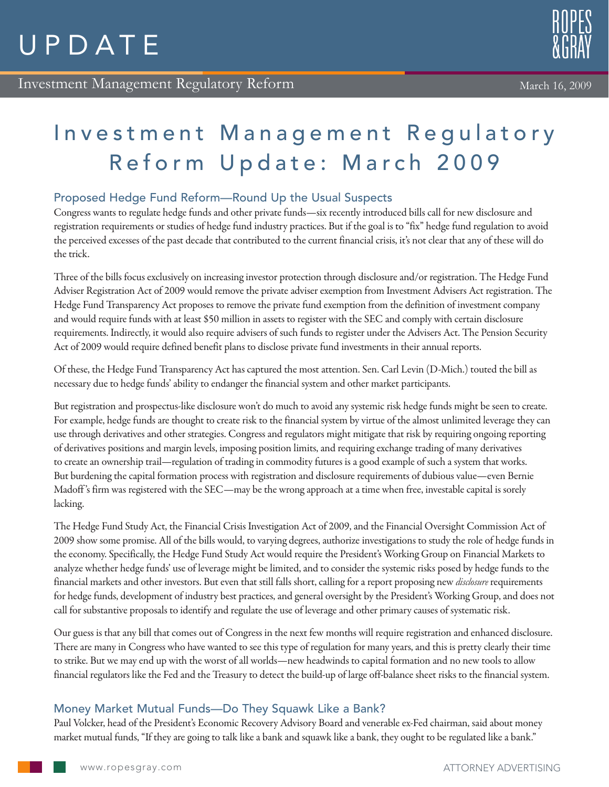#### March 16, 2009

# Investment Management Regulatory Reform Update: March 2009

## Proposed Hedge Fund Reform—Round Up the Usual Suspects

Congress wants to regulate hedge funds and other private funds—six recently introduced bills call for new disclosure and registration requirements or studies of hedge fund industry practices. But if the goal is to "fix" hedge fund regulation to avoid the perceived excesses of the past decade that contributed to the current financial crisis, it's not clear that any of these will do the trick.

Three of the bills focus exclusively on increasing investor protection through disclosure and/or registration. The Hedge Fund Adviser Registration Act of 2009 would remove the private adviser exemption from Investment Advisers Act registration. The Hedge Fund Transparency Act proposes to remove the private fund exemption from the definition of investment company and would require funds with at least \$50 million in assets to register with the SEC and comply with certain disclosure requirements. Indirectly, it would also require advisers of such funds to register under the Advisers Act. The Pension Security Act of 2009 would require defined benefit plans to disclose private fund investments in their annual reports.

Of these, the Hedge Fund Transparency Act has captured the most attention. Sen. Carl Levin (D-Mich.) touted the bill as necessary due to hedge funds' ability to endanger the financial system and other market participants.

But registration and prospectus-like disclosure won't do much to avoid any systemic risk hedge funds might be seen to create. For example, hedge funds are thought to create risk to the financial system by virtue of the almost unlimited leverage they can use through derivatives and other strategies. Congress and regulators might mitigate that risk by requiring ongoing reporting of derivatives positions and margin levels, imposing position limits, and requiring exchange trading of many derivatives to create an ownership trail—regulation of trading in commodity futures is a good example of such a system that works. But burdening the capital formation process with registration and disclosure requirements of dubious value—even Bernie Madoff 's firm was registered with the SEC—may be the wrong approach at a time when free, investable capital is sorely lacking.

The Hedge Fund Study Act, the Financial Crisis Investigation Act of 2009, and the Financial Oversight Commission Act of 2009 show some promise. All of the bills would, to varying degrees, authorize investigations to study the role of hedge funds in the economy. Specifically, the Hedge Fund Study Act would require the President's Working Group on Financial Markets to analyze whether hedge funds' use of leverage might be limited, and to consider the systemic risks posed by hedge funds to the financial markets and other investors. But even that still falls short, calling for a report proposing new *disclosure* requirements for hedge funds, development of industry best practices, and general oversight by the President's Working Group, and does not call for substantive proposals to identify and regulate the use of leverage and other primary causes of systematic risk.

Our guess is that any bill that comes out of Congress in the next few months will require registration and enhanced disclosure. There are many in Congress who have wanted to see this type of regulation for many years, and this is pretty clearly their time to strike. But we may end up with the worst of all worlds—new headwinds to capital formation and no new tools to allow financial regulators like the Fed and the Treasury to detect the build-up of large off-balance sheet risks to the financial system.

### Money Market Mutual Funds—Do They Squawk Like a Bank?

Paul Volcker, head of the President's Economic Recovery Advisory Board and venerable ex-Fed chairman, said about money market mutual funds, "If they are going to talk like a bank and squawk like a bank, they ought to be regulated like a bank."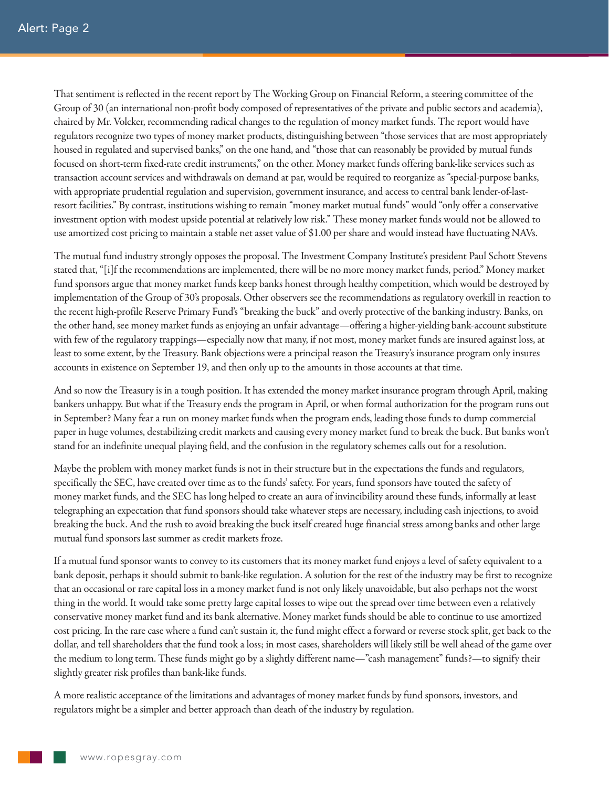That sentiment is reflected in the recent report by The Working Group on Financial Reform, a steering committee of the Group of 30 (an international non-profit body composed of representatives of the private and public sectors and academia), chaired by Mr. Volcker, recommending radical changes to the regulation of money market funds. The report would have regulators recognize two types of money market products, distinguishing between "those services that are most appropriately housed in regulated and supervised banks," on the one hand, and "those that can reasonably be provided by mutual funds focused on short-term fixed-rate credit instruments," on the other. Money market funds offering bank-like services such as transaction account services and withdrawals on demand at par, would be required to reorganize as "special-purpose banks, with appropriate prudential regulation and supervision, government insurance, and access to central bank lender-of-lastresort facilities." By contrast, institutions wishing to remain "money market mutual funds" would "only offer a conservative investment option with modest upside potential at relatively low risk." These money market funds would not be allowed to use amortized cost pricing to maintain a stable net asset value of \$1.00 per share and would instead have fluctuating NAVs.

The mutual fund industry strongly opposes the proposal. The Investment Company Institute's president Paul Schott Stevens stated that, "[i]f the recommendations are implemented, there will be no more money market funds, period." Money market fund sponsors argue that money market funds keep banks honest through healthy competition, which would be destroyed by implementation of the Group of 30's proposals. Other observers see the recommendations as regulatory overkill in reaction to the recent high-profile Reserve Primary Fund's "breaking the buck" and overly protective of the banking industry. Banks, on the other hand, see money market funds as enjoying an unfair advantage—offering a higher-yielding bank-account substitute with few of the regulatory trappings—especially now that many, if not most, money market funds are insured against loss, at least to some extent, by the Treasury. Bank objections were a principal reason the Treasury's insurance program only insures accounts in existence on September 19, and then only up to the amounts in those accounts at that time.

And so now the Treasury is in a tough position. It has extended the money market insurance program through April, making bankers unhappy. But what if the Treasury ends the program in April, or when formal authorization for the program runs out in September? Many fear a run on money market funds when the program ends, leading those funds to dump commercial paper in huge volumes, destabilizing credit markets and causing every money market fund to break the buck. But banks won't stand for an indefinite unequal playing field, and the confusion in the regulatory schemes calls out for a resolution.

Maybe the problem with money market funds is not in their structure but in the expectations the funds and regulators, specifically the SEC, have created over time as to the funds' safety. For years, fund sponsors have touted the safety of money market funds, and the SEC has long helped to create an aura of invincibility around these funds, informally at least telegraphing an expectation that fund sponsors should take whatever steps are necessary, including cash injections, to avoid breaking the buck. And the rush to avoid breaking the buck itself created huge financial stress among banks and other large mutual fund sponsors last summer as credit markets froze.

If a mutual fund sponsor wants to convey to its customers that its money market fund enjoys a level of safety equivalent to a bank deposit, perhaps it should submit to bank-like regulation. A solution for the rest of the industry may be first to recognize that an occasional or rare capital loss in a money market fund is not only likely unavoidable, but also perhaps not the worst thing in the world. It would take some pretty large capital losses to wipe out the spread over time between even a relatively conservative money market fund and its bank alternative. Money market funds should be able to continue to use amortized cost pricing. In the rare case where a fund can't sustain it, the fund might effect a forward or reverse stock split, get back to the dollar, and tell shareholders that the fund took a loss; in most cases, shareholders will likely still be well ahead of the game over the medium to long term. These funds might go by a slightly different name—"cash management" funds?—to signify their slightly greater risk profiles than bank-like funds.

A more realistic acceptance of the limitations and advantages of money market funds by fund sponsors, investors, and regulators might be a simpler and better approach than death of the industry by regulation.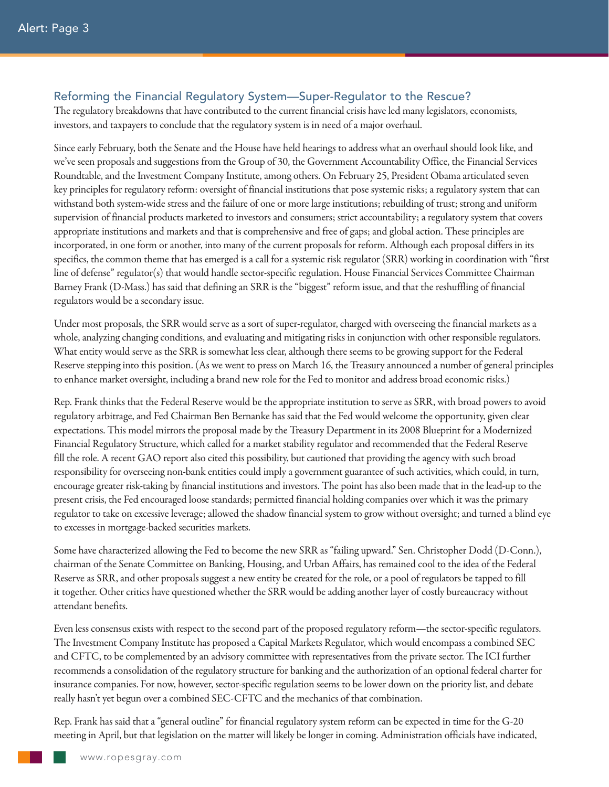#### Reforming the Financial Regulatory System—Super-Regulator to the Rescue?

The regulatory breakdowns that have contributed to the current financial crisis have led many legislators, economists, investors, and taxpayers to conclude that the regulatory system is in need of a major overhaul.

Since early February, both the Senate and the House have held hearings to address what an overhaul should look like, and we've seen proposals and suggestions from the Group of 30, the Government Accountability Office, the Financial Services Roundtable, and the Investment Company Institute, among others. On February 25, President Obama articulated seven key principles for regulatory reform: oversight of financial institutions that pose systemic risks; a regulatory system that can withstand both system-wide stress and the failure of one or more large institutions; rebuilding of trust; strong and uniform supervision of financial products marketed to investors and consumers; strict accountability; a regulatory system that covers appropriate institutions and markets and that is comprehensive and free of gaps; and global action. These principles are incorporated, in one form or another, into many of the current proposals for reform. Although each proposal differs in its specifics, the common theme that has emerged is a call for a systemic risk regulator (SRR) working in coordination with "first line of defense" regulator(s) that would handle sector-specific regulation. House Financial Services Committee Chairman Barney Frank (D-Mass.) has said that defining an SRR is the "biggest" reform issue, and that the reshuffling of financial regulators would be a secondary issue.

Under most proposals, the SRR would serve as a sort of super-regulator, charged with overseeing the financial markets as a whole, analyzing changing conditions, and evaluating and mitigating risks in conjunction with other responsible regulators. What entity would serve as the SRR is somewhat less clear, although there seems to be growing support for the Federal Reserve stepping into this position. (As we went to press on March 16, the Treasury announced a number of general principles to enhance market oversight, including a brand new role for the Fed to monitor and address broad economic risks.)

Rep. Frank thinks that the Federal Reserve would be the appropriate institution to serve as SRR, with broad powers to avoid regulatory arbitrage, and Fed Chairman Ben Bernanke has said that the Fed would welcome the opportunity, given clear expectations. This model mirrors the proposal made by the Treasury Department in its 2008 Blueprint for a Modernized Financial Regulatory Structure, which called for a market stability regulator and recommended that the Federal Reserve fill the role. A recent GAO report also cited this possibility, but cautioned that providing the agency with such broad responsibility for overseeing non-bank entities could imply a government guarantee of such activities, which could, in turn, encourage greater risk-taking by financial institutions and investors. The point has also been made that in the lead-up to the present crisis, the Fed encouraged loose standards; permitted financial holding companies over which it was the primary regulator to take on excessive leverage; allowed the shadow financial system to grow without oversight; and turned a blind eye to excesses in mortgage-backed securities markets.

Some have characterized allowing the Fed to become the new SRR as "failing upward." Sen. Christopher Dodd (D-Conn.), chairman of the Senate Committee on Banking, Housing, and Urban Affairs, has remained cool to the idea of the Federal Reserve as SRR, and other proposals suggest a new entity be created for the role, or a pool of regulators be tapped to fill it together. Other critics have questioned whether the SRR would be adding another layer of costly bureaucracy without attendant benefits.

Even less consensus exists with respect to the second part of the proposed regulatory reform—the sector-specific regulators. The Investment Company Institute has proposed a Capital Markets Regulator, which would encompass a combined SEC and CFTC, to be complemented by an advisory committee with representatives from the private sector. The ICI further recommends a consolidation of the regulatory structure for banking and the authorization of an optional federal charter for insurance companies. For now, however, sector-specific regulation seems to be lower down on the priority list, and debate really hasn't yet begun over a combined SEC-CFTC and the mechanics of that combination.

Rep. Frank has said that a "general outline" for financial regulatory system reform can be expected in time for the G-20 meeting in April, but that legislation on the matter will likely be longer in coming. Administration officials have indicated,